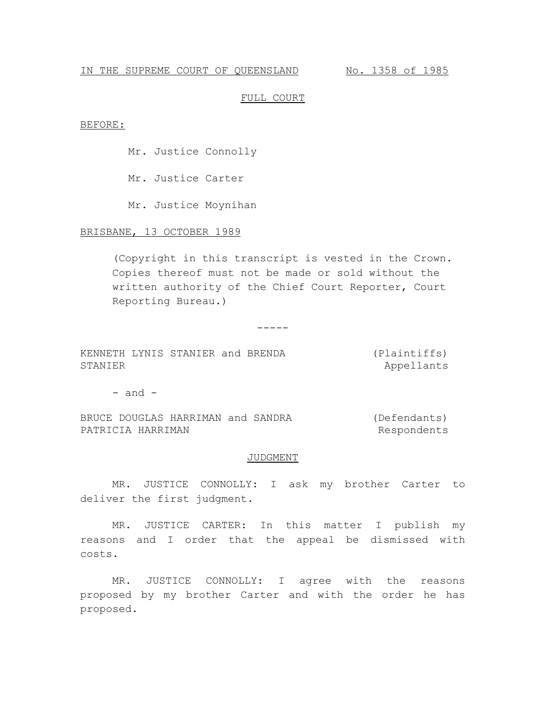# IN THE SUPREME COURT OF QUEENSLAND No. 1358 of 1985

### FULL COURT

#### BEFORE:

Mr. Justice Connolly

Mr. Justice Carter

Mr. Justice Moynihan

# BRISBANE, 13 OCTOBER 1989

(Copyright in this transcript is vested in the Crown. Copies thereof must not be made or sold without the written authority of the Chief Court Reporter, Court Reporting Bureau.)

-----

KENNETH LYNIS STANIER and BRENDA STANIER (Plaintiffs) Appellants

 $-$  and  $-$ 

BRUCE DOUGLAS HARRIMAN and SANDRA PATRICIA HARRIMAN (Defendants) Respondents

#### JUDGMENT

MR. JUSTICE CONNOLLY: I ask my brother Carter to deliver the first judgment.

MR. JUSTICE CARTER: In this matter I publish my reasons and I order that the appeal be dismissed with costs.

MR. JUSTICE CONNOLLY: I agree with the reasons proposed by my brother Carter and with the order he has proposed.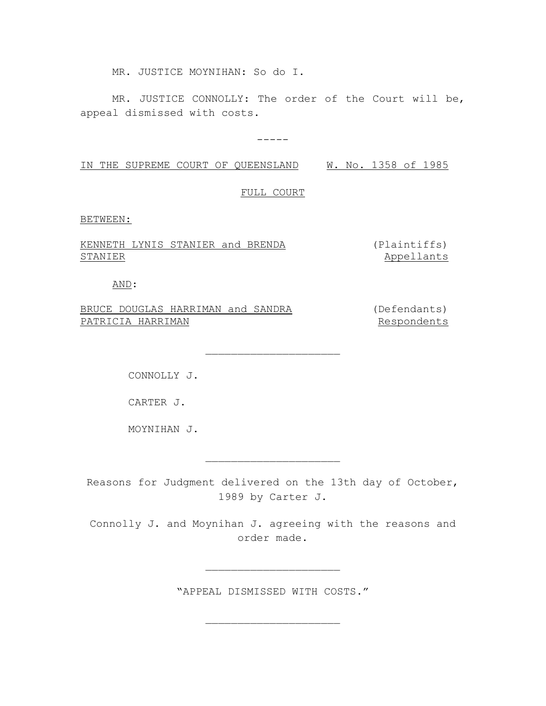MR. JUSTICE MOYNIHAN: So do I.

MR. JUSTICE CONNOLLY: The order of the Court will be, appeal dismissed with costs.

-----

IN THE SUPREME COURT OF QUEENSLAND W. No. 1358 of 1985

FULL COURT

BETWEEN:

KENNETH LYNIS STANIER and BRENDA STANIER

(Plaintiffs) Appellants

AND:

BRUCE DOUGLAS HARRIMAN and SANDRA PATRICIA HARRIMAN (Defendants)

Respondents

CONNOLLY J.

CARTER J.

MOYNIHAN J.

Reasons for Judgment delivered on the 13th day of October, 1989 by Carter J.

 $\overline{\phantom{a}}$  , where  $\overline{\phantom{a}}$  , where  $\overline{\phantom{a}}$  , where  $\overline{\phantom{a}}$ 

 $\overline{\phantom{a}}$  , where  $\overline{\phantom{a}}$  , where  $\overline{\phantom{a}}$  , where  $\overline{\phantom{a}}$ 

Connolly J. and Moynihan J. agreeing with the reasons and order made.

"APPEAL DISMISSED WITH COSTS."

 $\overline{\phantom{a}}$  , where  $\overline{\phantom{a}}$  , where  $\overline{\phantom{a}}$  , where  $\overline{\phantom{a}}$ 

 $\overline{\phantom{a}}$  , where  $\overline{\phantom{a}}$  , where  $\overline{\phantom{a}}$  , where  $\overline{\phantom{a}}$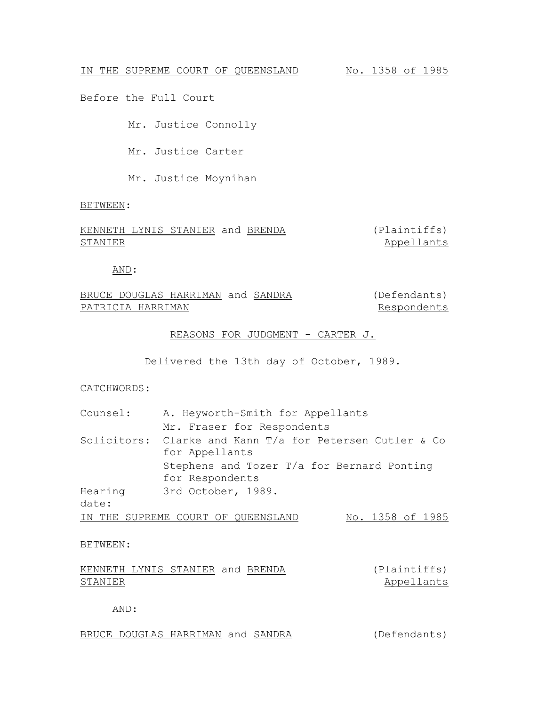Before the Full Court

Mr. Justice Connolly

Mr. Justice Carter

Mr. Justice Moynihan

BETWEEN:

KENNETH LYNIS STANIER and BRENDA (Plaintiffs) STANIER Appellants

AND:

BRUCE DOUGLAS HARRIMAN and SANDRA PATRICIA HARRIMAN (Defendants) Respondents

REASONS FOR JUDGMENT - CARTER J.

Delivered the 13th day of October, 1989.

CATCHWORDS:

| Counsel: | A. Heyworth-Smith for Appellants                         |  |  |  |  |
|----------|----------------------------------------------------------|--|--|--|--|
|          | Mr. Fraser for Respondents                               |  |  |  |  |
|          | Solicitors: Clarke and Kann T/a for Petersen Cutler & Co |  |  |  |  |
|          | for Appellants                                           |  |  |  |  |
|          | Stephens and Tozer T/a for Bernard Ponting               |  |  |  |  |
|          | for Respondents                                          |  |  |  |  |
| Hearing  | 3rd October, 1989.                                       |  |  |  |  |
| date:    |                                                          |  |  |  |  |
|          | No. 1358 of 1985<br>IN THE SUPREME COURT OF QUEENSLAND   |  |  |  |  |

### BETWEEN:

|         | KENNETH LYNIS STANIER and BRENDA |  | (Plaintiffs) |
|---------|----------------------------------|--|--------------|
| STANIER |                                  |  | Appellants   |

AND:

BRUCE DOUGLAS HARRIMAN and SANDRA (Defendants)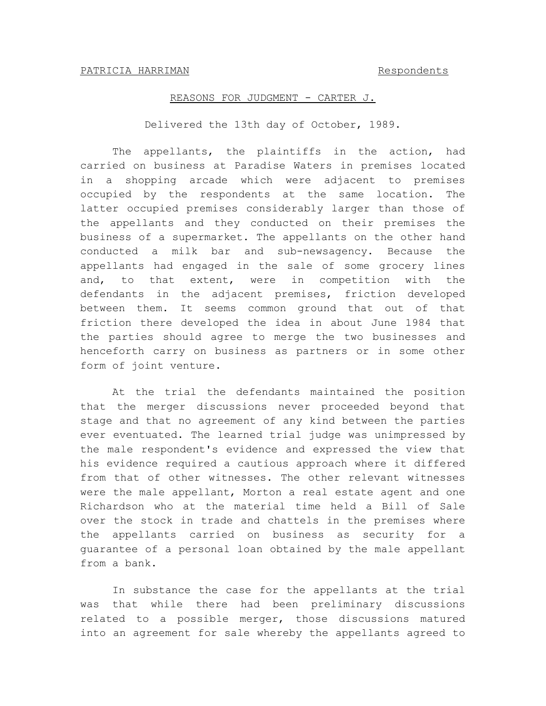# REASONS FOR JUDGMENT - CARTER J.

Delivered the 13th day of October, 1989.

The appellants, the plaintiffs in the action, had carried on business at Paradise Waters in premises located in a shopping arcade which were adjacent to premises occupied by the respondents at the same location. The latter occupied premises considerably larger than those of the appellants and they conducted on their premises the business of a supermarket. The appellants on the other hand conducted a milk bar and sub-newsagency. Because the appellants had engaged in the sale of some grocery lines and, to that extent, were in competition with the defendants in the adjacent premises, friction developed between them. It seems common ground that out of that friction there developed the idea in about June 1984 that the parties should agree to merge the two businesses and henceforth carry on business as partners or in some other form of joint venture.

At the trial the defendants maintained the position that the merger discussions never proceeded beyond that stage and that no agreement of any kind between the parties ever eventuated. The learned trial judge was unimpressed by the male respondent's evidence and expressed the view that his evidence required a cautious approach where it differed from that of other witnesses. The other relevant witnesses were the male appellant, Morton a real estate agent and one Richardson who at the material time held a Bill of Sale over the stock in trade and chattels in the premises where the appellants carried on business as security for a guarantee of a personal loan obtained by the male appellant from a bank.

In substance the case for the appellants at the trial was that while there had been preliminary discussions related to a possible merger, those discussions matured into an agreement for sale whereby the appellants agreed to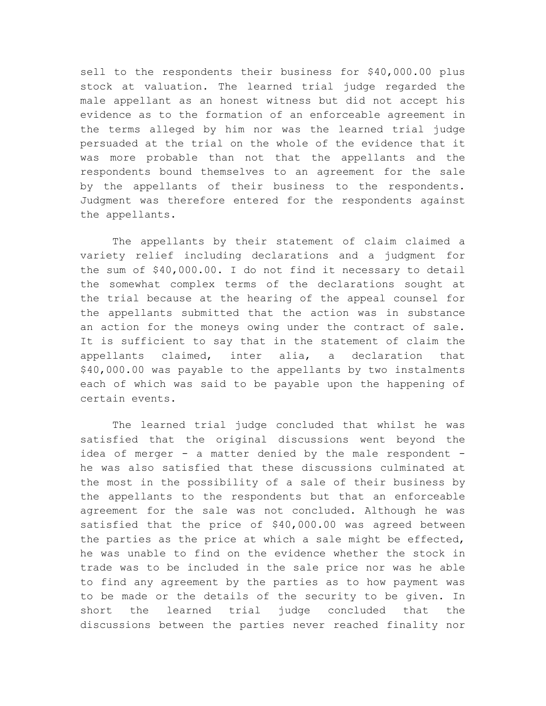sell to the respondents their business for \$40,000.00 plus stock at valuation. The learned trial judge regarded the male appellant as an honest witness but did not accept his evidence as to the formation of an enforceable agreement in the terms alleged by him nor was the learned trial judge persuaded at the trial on the whole of the evidence that it was more probable than not that the appellants and the respondents bound themselves to an agreement for the sale by the appellants of their business to the respondents. Judgment was therefore entered for the respondents against the appellants.

The appellants by their statement of claim claimed a variety relief including declarations and a judgment for the sum of \$40,000.00. I do not find it necessary to detail the somewhat complex terms of the declarations sought at the trial because at the hearing of the appeal counsel for the appellants submitted that the action was in substance an action for the moneys owing under the contract of sale. It is sufficient to say that in the statement of claim the appellants claimed, inter alia, a declaration that \$40,000.00 was payable to the appellants by two instalments each of which was said to be payable upon the happening of certain events.

The learned trial judge concluded that whilst he was satisfied that the original discussions went beyond the idea of merger - a matter denied by the male respondent he was also satisfied that these discussions culminated at the most in the possibility of a sale of their business by the appellants to the respondents but that an enforceable agreement for the sale was not concluded. Although he was satisfied that the price of \$40,000.00 was agreed between the parties as the price at which a sale might be effected, he was unable to find on the evidence whether the stock in trade was to be included in the sale price nor was he able to find any agreement by the parties as to how payment was to be made or the details of the security to be given. In short the learned trial judge concluded that the discussions between the parties never reached finality nor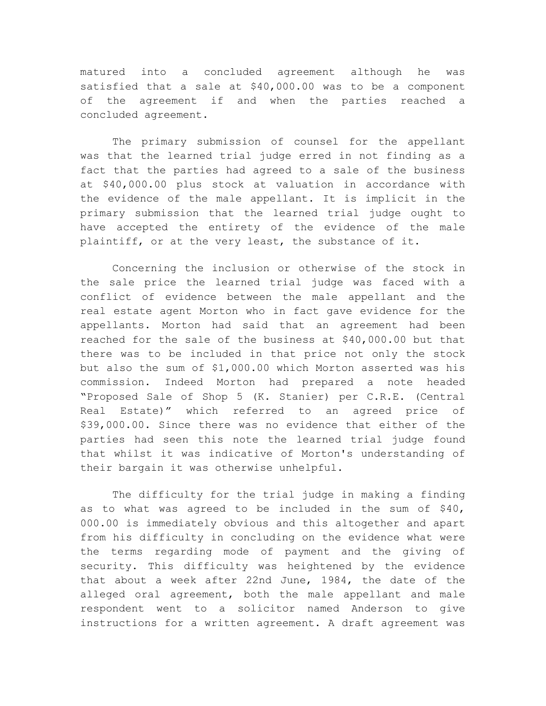matured into a concluded agreement although he was satisfied that a sale at \$40,000.00 was to be a component of the agreement if and when the parties reached a concluded agreement.

The primary submission of counsel for the appellant was that the learned trial judge erred in not finding as a fact that the parties had agreed to a sale of the business at \$40,000.00 plus stock at valuation in accordance with the evidence of the male appellant. It is implicit in the primary submission that the learned trial judge ought to have accepted the entirety of the evidence of the male plaintiff, or at the very least, the substance of it.

Concerning the inclusion or otherwise of the stock in the sale price the learned trial judge was faced with a conflict of evidence between the male appellant and the real estate agent Morton who in fact gave evidence for the appellants. Morton had said that an agreement had been reached for the sale of the business at \$40,000.00 but that there was to be included in that price not only the stock but also the sum of \$1,000.00 which Morton asserted was his commission. Indeed Morton had prepared a note headed "Proposed Sale of Shop 5 (K. Stanier) per C.R.E. (Central Real Estate)" which referred to an agreed price of \$39,000.00. Since there was no evidence that either of the parties had seen this note the learned trial judge found that whilst it was indicative of Morton's understanding of their bargain it was otherwise unhelpful.

The difficulty for the trial judge in making a finding as to what was agreed to be included in the sum of \$40, 000.00 is immediately obvious and this altogether and apart from his difficulty in concluding on the evidence what were the terms regarding mode of payment and the giving of security. This difficulty was heightened by the evidence that about a week after 22nd June, 1984, the date of the alleged oral agreement, both the male appellant and male respondent went to a solicitor named Anderson to give instructions for a written agreement. A draft agreement was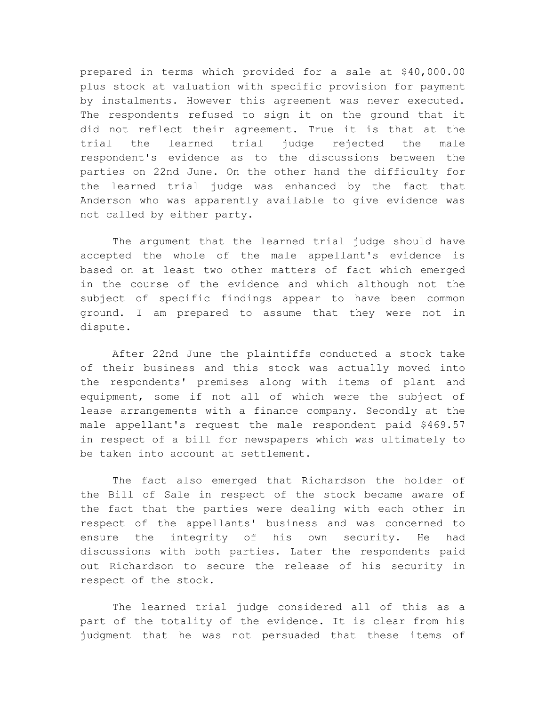prepared in terms which provided for a sale at \$40,000.00 plus stock at valuation with specific provision for payment by instalments. However this agreement was never executed. The respondents refused to sign it on the ground that it did not reflect their agreement. True it is that at the trial the learned trial judge rejected the male respondent's evidence as to the discussions between the parties on 22nd June. On the other hand the difficulty for the learned trial judge was enhanced by the fact that Anderson who was apparently available to give evidence was not called by either party.

The argument that the learned trial judge should have accepted the whole of the male appellant's evidence is based on at least two other matters of fact which emerged in the course of the evidence and which although not the subject of specific findings appear to have been common ground. I am prepared to assume that they were not in dispute.

After 22nd June the plaintiffs conducted a stock take of their business and this stock was actually moved into the respondents' premises along with items of plant and equipment, some if not all of which were the subject of lease arrangements with a finance company. Secondly at the male appellant's request the male respondent paid \$469.57 in respect of a bill for newspapers which was ultimately to be taken into account at settlement.

The fact also emerged that Richardson the holder of the Bill of Sale in respect of the stock became aware of the fact that the parties were dealing with each other in respect of the appellants' business and was concerned to ensure the integrity of his own security. He had discussions with both parties. Later the respondents paid out Richardson to secure the release of his security in respect of the stock.

The learned trial judge considered all of this as a part of the totality of the evidence. It is clear from his judgment that he was not persuaded that these items of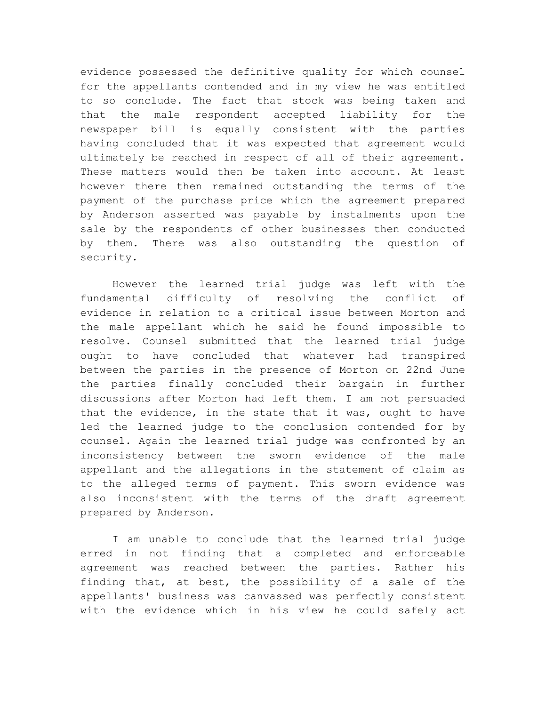evidence possessed the definitive quality for which counsel for the appellants contended and in my view he was entitled to so conclude. The fact that stock was being taken and that the male respondent accepted liability for the newspaper bill is equally consistent with the parties having concluded that it was expected that agreement would ultimately be reached in respect of all of their agreement. These matters would then be taken into account. At least however there then remained outstanding the terms of the payment of the purchase price which the agreement prepared by Anderson asserted was payable by instalments upon the sale by the respondents of other businesses then conducted by them. There was also outstanding the question of security.

However the learned trial judge was left with the fundamental difficulty of resolving the conflict of evidence in relation to a critical issue between Morton and the male appellant which he said he found impossible to resolve. Counsel submitted that the learned trial judge ought to have concluded that whatever had transpired between the parties in the presence of Morton on 22nd June the parties finally concluded their bargain in further discussions after Morton had left them. I am not persuaded that the evidence, in the state that it was, ought to have led the learned judge to the conclusion contended for by counsel. Again the learned trial judge was confronted by an inconsistency between the sworn evidence of the male appellant and the allegations in the statement of claim as to the alleged terms of payment. This sworn evidence was also inconsistent with the terms of the draft agreement prepared by Anderson.

I am unable to conclude that the learned trial judge erred in not finding that a completed and enforceable agreement was reached between the parties. Rather his finding that, at best, the possibility of a sale of the appellants' business was canvassed was perfectly consistent with the evidence which in his view he could safely act